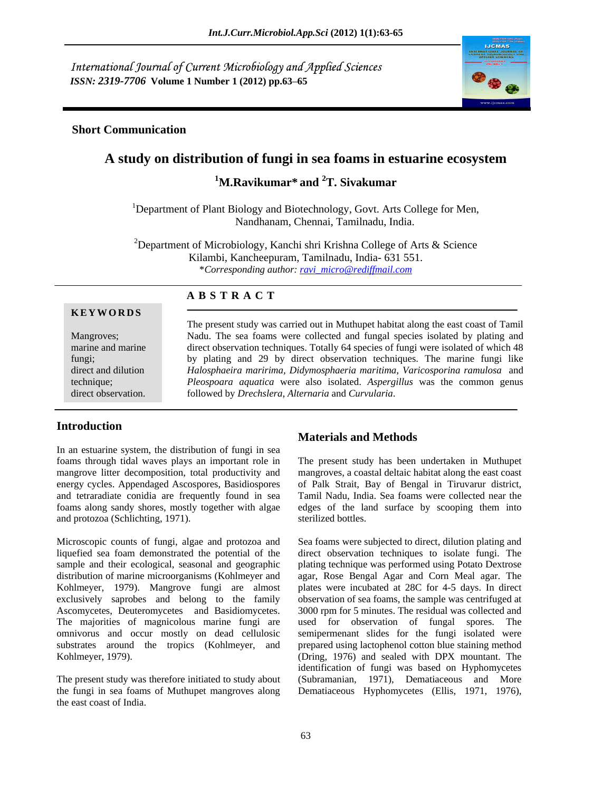International Journal of Current Microbiology and Applied Sciences *ISSN: 2319-7706* **Volume 1 Number 1 (2012) pp.63 65**



## **Short Communication**

# **A study on distribution of fungi in sea foams in estuarine ecosystem**

**1M.Ravikumar\* and 2T. Sivakumar**

<sup>1</sup>Department of Plant Biology and Biotechnology, Govt. Arts College for Men, Nandhanam, Chennai, Tamilnadu, India.

<sup>2</sup>Department of Microbiology, Kanchi shri Krishna College of Arts & Science Kilambi, Kancheepuram, Tamilnadu, India- 631 551. \**Corresponding author: ravi\_micro@rediffmail.com*

#### **KE YWOR D S**

#### **A B S T R A C T**

Mangroves; Nadu. The sea foams were collected and fungal species isolated by plating and marine and marine direct observation techniques. Totally 64 species of fungi were isolated of which 48 fungi; by plating and 29 by direct observation techniques. The marine fungi like direct and dilution *Halosphaeira maririma, Didymosphaeria maritima, Varicosporina ramulosa* and technique; *Pleospoara aquatica* were also isolated. *Aspergillus* was the common genus direct observation. followed by *Drechslera*, *Alternaria* and *Curvularia*. The present study was carried out in Muthupet habitat along the east coast of Tamil

## **Introduction**

In an estuarine system, the distribution of fungi in sea and protozoa (Schlichting, 1971).

.

liquefied sea foam demonstrated the potential of the direct observation techniques to isolate fungi. The sample and their ecological, seasonal and geographic plating technique was performed using Potato Dextrose distribution of marine microorganisms (Kohlmeyer and agar, Rose Bengal Agar and Corn Meal agar. The Kohlmeyer, 1979). Mangrove fungi are almost plates were incubated at 28C for 4-5 days. In direct exclusively saprobes and belong to the family observation of sea foams, the sample was centrifuged at Ascomycetes, Deuteromycetes and Basidiomycetes. 3000 rpm for 5 minutes. The residual was collected and The majorities of magnicolous marine fungi are used for observation of fungal spores. The omnivorus and occur mostly on dead cellulosic semipermenant slides for the fungi isolated were substrates around the tropics (Kohlmeyer, and prepared using lactophenol cotton blue staining method Kohlmeyer, 1979). (Dring, 1976) and sealed with DPX mountant. The

the fungi in sea foams of Muthupet mangroves along Dematiaceous Hyphomycetes (Ellis, 1971, 1976), the east coast of India.

## **Materials and Methods**

foams through tidal waves plays an important role in The present study has been undertaken in Muthupet mangrove litter decomposition, total productivity and mangroves, a coastal deltaic habitat along the east coast energy cycles. Appendaged Ascospores, Basidiospores of Palk Strait, Bay of Bengal in Tiruvarur district, and tetraradiate conidia are frequently found in sea Tamil Nadu, India. Sea foams were collected near the foams along sandy shores, mostly together with algae edges of the land surface by scooping them into sterilized bottles.

Microscopic counts of fungi, algae and protozoa and Sea foams were subjected to direct, dilution plating and The present study was therefore initiated to study about (Subramanian, 1971), Dematiaceous and More identification of fungi was based on Hyphomycetes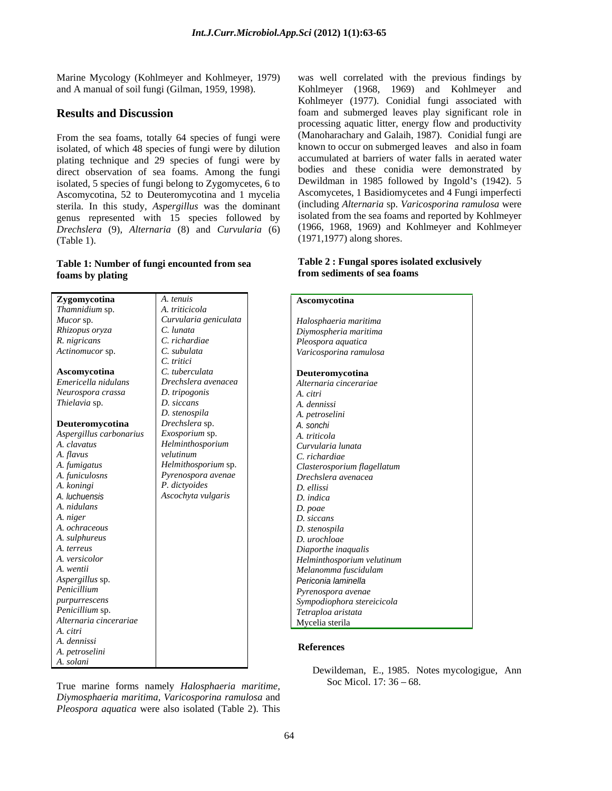From the sea foams, totally 64 species of fungi were isolated, of which 48 species of fungi were by dilution plating technique and 29 species of fungi were by direct observation of sea foams. Among the fungi isolated, 5 species of fungi belong to Zygomycetes, 6 to Ascomycotina, 52 to Deuteromycotina and 1 mycelia sterila. In this study, *Aspergillus* was the dominant genus represented with 15 species followed by *Drechslera* (9), *Alternaria* (8) and *Curvularia* (6) (Table 1). (1971,1977) along shores.

#### **Table 1: Number of fungi encounted from sea foams by plating**

| Zygomycotina            | A. tenuis             | Ascomycotina                            |
|-------------------------|-----------------------|-----------------------------------------|
| Thamnidium sp.          | A. triticicola        |                                         |
| Mucor sp.               | Curvularia geniculata | Halosphaeria maritima                   |
| Rhizopus oryza          | C. lunata             | Diymospheria maritima                   |
| R. nigricans            | C. richardiae         | Pleospora aquatica                      |
| Actinomucor sp.         | C. subulata           | Varicosporina ramulosa                  |
|                         | C. tritici            |                                         |
| Ascomycotina            | C. tuberculata        | Deuteromycotina                         |
| Emericella nidulans     | Drechslera avenacea   | Alternaria cincerariae                  |
| Neurospora crassa       | D. tripogonis         | A. citri                                |
| Thielavia sp.           | D. siccans            | A. dennissi                             |
|                         | D. stenospila         | A. petroselini                          |
| Deuteromycotina         | Drechslera sp.        | A. sonchi                               |
| Aspergillus carbonarius | Exosporium sp.        | A. triticola                            |
| A. clavatus             | Helminthosporium      | Curvularia lunata                       |
| A. flavus               | velutinum             | C. richardiae                           |
| A. fumigatus            | Helmithosporium sp.   | Clasterosporium flagellatum             |
| A. funiculosns          | Pyrenospora avenae    | Drechslera avenacea                     |
| A. koningi              | P. dictyoides         | D. ellissi                              |
| A. luchuensis           | Ascochyta vulgaris    | $D.$ indica                             |
| A. nidulans             |                       | D. poae                                 |
| A. niger                |                       | D. siccans                              |
| A. ochraceous           |                       | D. stenospila                           |
| A. sulphureus           |                       | D. urochloae                            |
| A. terreus              |                       | Diaporthe inaqualis                     |
| A. versicolor           |                       | Helminthosporium velutinum              |
| A. wentii               |                       | Melanomma fuscidulam                    |
| Aspergillus sp.         |                       | Periconia laminella                     |
| Penicillium             |                       | Pyrenospora avenae                      |
| purpurrescens           |                       | Sympodiophora stereicicola              |
| Penicillium sp.         |                       | Tetraploa aristata                      |
| Alternaria cincerariae  |                       | Mycelia sterila                         |
| A. citri                |                       |                                         |
| A. dennissi             |                       | <b>References</b>                       |
| A. petroselini          |                       |                                         |
| A. solani               |                       | Dewildeman E 1985 Notes mycologique Ann |

True marine forms namely *Halosphaeria maritime, Diymosphaeria maritima, Varicosporina ramulosa* and *Pleospora aquatica* were also isolated (Table 2). This

Marine Mycology (Kohlmeyer and Kohlmeyer, 1979) was well correlated with the previous findings by and A manual of soil fungi (Gilman, 1959, 1998). Kohlmeyer (1968, 1969) and Kohlmeyer and **Results and Discussion foam and submerged leaves play significant role in** Kohlmeyer (1977). Conidial fungi associated with processing aquatic litter, energy flow and productivity (Manoharachary and Galaih, 1987). Conidial fungi are known to occur on submerged leaves and also in foam accumulated at barriers of water falls in aerated water bodies and these conidia were demonstrated by Dewildman in 1985 followed by Ingold's (1942). 5 Ascomycetes, 1 Basidiomycetes and 4 Fungi imperfecti (including *Alternaria* sp. *Varicosporina ramulosa* were isolated from the sea foams and reported by Kohlmeyer (1966, 1968, 1969) and Kohlmeyer and Kohlmeyer

#### **Table 2 : Fungal spores isolated exclusively from sediments of sea foams**

| A. tenuis                          | Ascomycotina                |  |  |  |  |
|------------------------------------|-----------------------------|--|--|--|--|
| A. triticicola                     |                             |  |  |  |  |
| Curvularia geniculata              | Halosphaeria maritima       |  |  |  |  |
| C. lunata                          | Diymospheria maritima       |  |  |  |  |
| C. richardiae                      | Pleospora aquatica          |  |  |  |  |
| C. subulata                        | Varicosporina ramulosa      |  |  |  |  |
|                                    |                             |  |  |  |  |
| C. tritici<br>C. tuberculata       | Deuteromycotina             |  |  |  |  |
| Drechslera avenacea                | Alternaria cincerariae      |  |  |  |  |
| D. tripogonis                      | A. citri                    |  |  |  |  |
| D. siccans                         | A. dennissi                 |  |  |  |  |
| D. stenospila                      | A. petroselini              |  |  |  |  |
| Drechslera sp.                     | A. sonchi                   |  |  |  |  |
|                                    | A. triticola                |  |  |  |  |
| Exosporium sp.<br>Helminthosporium | Curvularia lunata           |  |  |  |  |
| velutinum                          | C. richardiae               |  |  |  |  |
| Helmithosporium sp.                | Clasterosporium flagellatum |  |  |  |  |
| Pyrenospora avenae                 | Drechslera avenacea         |  |  |  |  |
| P. dictyoides                      | D. ellissi                  |  |  |  |  |
| Ascochyta vulgaris                 | D. indica                   |  |  |  |  |
|                                    | D. poae                     |  |  |  |  |
|                                    | D. siccans                  |  |  |  |  |
|                                    | D. stenospila               |  |  |  |  |
|                                    | D. urochloae                |  |  |  |  |
|                                    | Diaporthe inaqualis         |  |  |  |  |
|                                    | Helminthosporium velutinum  |  |  |  |  |
|                                    | Melanomma fuscidulam        |  |  |  |  |
|                                    | Periconia laminella         |  |  |  |  |
|                                    | Pyrenospora avenae          |  |  |  |  |
|                                    | Sympodiophora stereicicola  |  |  |  |  |
|                                    | Tetraploa aristata          |  |  |  |  |
|                                    | Mycelia sterila             |  |  |  |  |
|                                    |                             |  |  |  |  |

#### **References**

Dewildeman, E., 1985. Notes mycologigue, Ann Soc Micol.  $17:36 - 68$ .